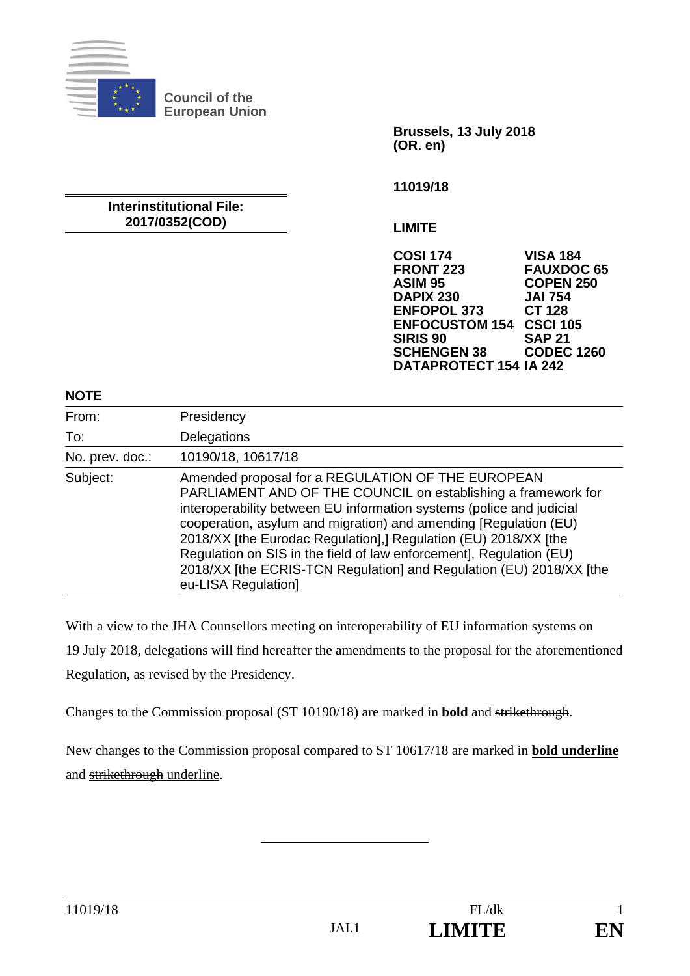

**Council of the European Union** 

> **Brussels, 13 July 2018 (OR. en)**

**11019/18** 

#### **Interinstitutional File: 2017/0352(COD)**

**LIMITE** 

**COSI 174 VISA 184 FRONT 223 FAUXDOC 65 ASIM 95 COPEN 250 DAPIX 230 JAI 754 ENFOPOL 373 ENFOCUSTOM 154 CSCI 105 SIRIS 90 SAP 21 SCHENGEN 38 DATAPROTECT 154 IA 242** 

#### **NOTE**

| From:           | Presidency                                                                                                                                                                                                                                                                                                                                                                                                                                                                                             |
|-----------------|--------------------------------------------------------------------------------------------------------------------------------------------------------------------------------------------------------------------------------------------------------------------------------------------------------------------------------------------------------------------------------------------------------------------------------------------------------------------------------------------------------|
| To:             | Delegations                                                                                                                                                                                                                                                                                                                                                                                                                                                                                            |
| No. prev. doc.: | 10190/18, 10617/18                                                                                                                                                                                                                                                                                                                                                                                                                                                                                     |
| Subject:        | Amended proposal for a REGULATION OF THE EUROPEAN<br>PARLIAMENT AND OF THE COUNCIL on establishing a framework for<br>interoperability between EU information systems (police and judicial<br>cooperation, asylum and migration) and amending [Regulation (EU)<br>2018/XX [the Eurodac Regulation],] Regulation (EU) 2018/XX [the<br>Regulation on SIS in the field of law enforcement], Regulation (EU)<br>2018/XX [the ECRIS-TCN Regulation] and Regulation (EU) 2018/XX [the<br>eu-LISA Regulation] |

With a view to the JHA Counsellors meeting on interoperability of EU information systems on 19 July 2018, delegations will find hereafter the amendments to the proposal for the aforementioned Regulation, as revised by the Presidency.

Changes to the Commission proposal (ST 10190/18) are marked in **bold** and strikethrough.

New changes to the Commission proposal compared to ST 10617/18 are marked in **bold underline**  and strikethrough underline.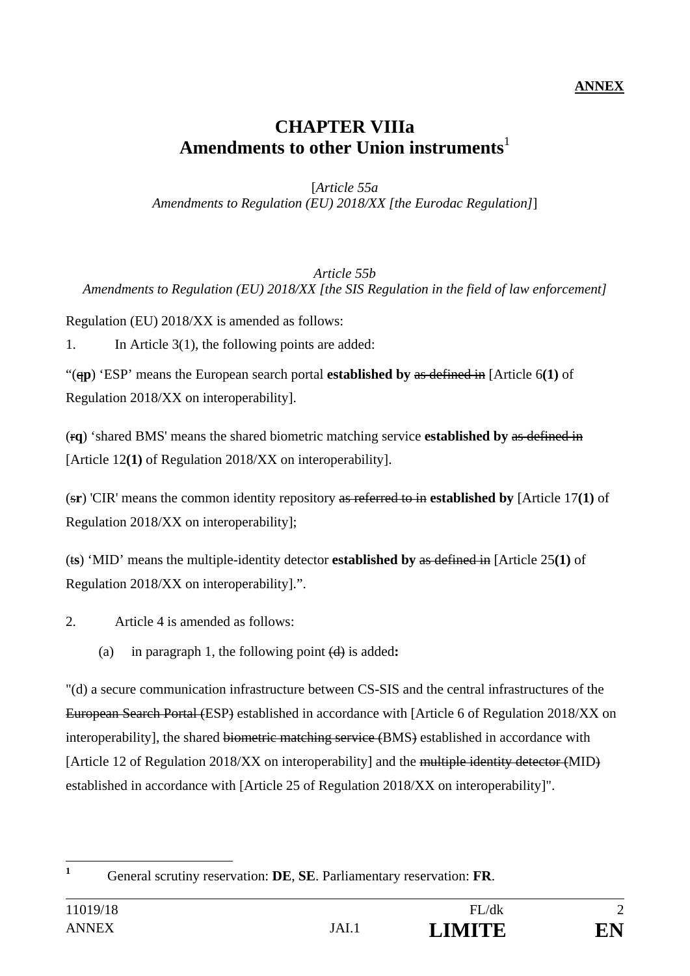### **ANNEX**

# **CHAPTER VIIIa Amendments to other Union instruments**<sup>1</sup>

[*Article 55a Amendments to Regulation (EU) 2018/XX [the Eurodac Regulation]*]

#### *Article 55b Amendments to Regulation (EU) 2018/XX [the SIS Regulation in the field of law enforcement]*

Regulation (EU) 2018/XX is amended as follows:

1. In Article 3(1), the following points are added:

"(q**p**) 'ESP' means the European search portal **established by** as defined in [Article 6**(1)** of Regulation 2018/XX on interoperability].

(r**q**) 'shared BMS' means the shared biometric matching service **established by** as defined in [Article 12**(1)** of Regulation 2018/XX on interoperability].

(s**r**) 'CIR' means the common identity repository as referred to in **established by** [Article 17**(1)** of Regulation 2018/XX on interoperability];

(t**s**) 'MID' means the multiple-identity detector **established by** as defined in [Article 25**(1)** of Regulation 2018/XX on interoperability].".

2. Article 4 is amended as follows:

(a) in paragraph 1, the following point (d) is added**:** 

"(d) a secure communication infrastructure between CS-SIS and the central infrastructures of the European Search Portal (ESP) established in accordance with [Article 6 of Regulation 2018/XX on interoperability], the shared biometric matching service (BMS) established in accordance with [Article 12 of Regulation 2018/XX on interoperability] and the multiple identity detector (MID) established in accordance with [Article 25 of Regulation 2018/XX on interoperability]".

 **1**

General scrutiny reservation: **DE**, **SE**. Parliamentary reservation: **FR**.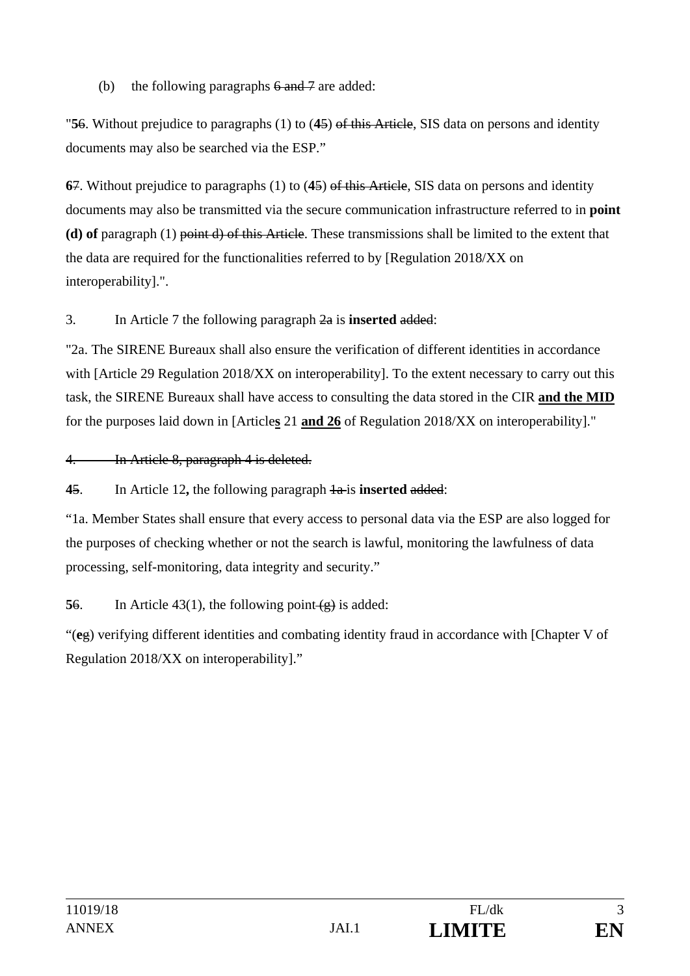## (b) the following paragraphs  $6$  and  $7$  are added:

"**5**6. Without prejudice to paragraphs (1) to (**4**5) of this Article, SIS data on persons and identity documents may also be searched via the ESP."

**6**7. Without prejudice to paragraphs (1) to (**4**5) of this Article, SIS data on persons and identity documents may also be transmitted via the secure communication infrastructure referred to in **point (d) of** paragraph (1) point d) of this Article. These transmissions shall be limited to the extent that the data are required for the functionalities referred to by [Regulation 2018/XX on interoperability].".

## 3. In Article 7 the following paragraph 2a is **inserted** added:

"2a. The SIRENE Bureaux shall also ensure the verification of different identities in accordance with [Article 29 Regulation 2018/XX on interoperability]. To the extent necessary to carry out this task, the SIRENE Bureaux shall have access to consulting the data stored in the CIR **and the MID** for the purposes laid down in [Article**s** 21 **and 26** of Regulation 2018/XX on interoperability]."

#### 4. In Article 8, paragraph 4 is deleted.

**4**5. In Article 12**,** the following paragraph 1a is **inserted** added:

"1a. Member States shall ensure that every access to personal data via the ESP are also logged for the purposes of checking whether or not the search is lawful, monitoring the lawfulness of data processing, self-monitoring, data integrity and security."

**56.** In Article 43(1), the following point  $\left(\frac{1}{2}\right)$  is added:

"(**e**g) verifying different identities and combating identity fraud in accordance with [Chapter V of Regulation 2018/XX on interoperability]."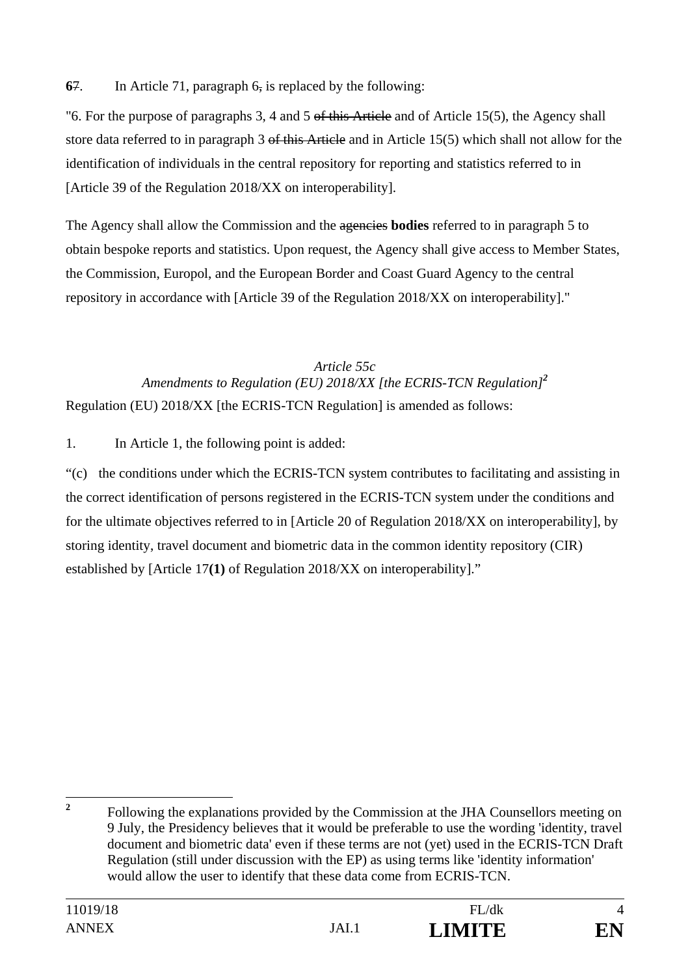**6**7. In Article 71, paragraph 6, is replaced by the following:

"6. For the purpose of paragraphs 3, 4 and 5 of this Article and of Article 15(5), the Agency shall store data referred to in paragraph 3 of this Article and in Article 15(5) which shall not allow for the identification of individuals in the central repository for reporting and statistics referred to in [Article 39 of the Regulation 2018/XX on interoperability].

The Agency shall allow the Commission and the agencies **bodies** referred to in paragraph 5 to obtain bespoke reports and statistics. Upon request, the Agency shall give access to Member States, the Commission, Europol, and the European Border and Coast Guard Agency to the central repository in accordance with [Article 39 of the Regulation 2018/XX on interoperability]."

## *Article 55c Amendments to Regulation (EU) 2018/XX [the ECRIS-TCN Regulation]<sup>2</sup>* Regulation (EU) 2018/XX [the ECRIS-TCN Regulation] is amended as follows:

1. In Article 1, the following point is added:

"(c) the conditions under which the ECRIS-TCN system contributes to facilitating and assisting in the correct identification of persons registered in the ECRIS-TCN system under the conditions and for the ultimate objectives referred to in [Article 20 of Regulation 2018/XX on interoperability], by storing identity, travel document and biometric data in the common identity repository (CIR) established by [Article 17**(1)** of Regulation 2018/XX on interoperability]."

 **2** Following the explanations provided by the Commission at the JHA Counsellors meeting on 9 July, the Presidency believes that it would be preferable to use the wording 'identity, travel document and biometric data' even if these terms are not (yet) used in the ECRIS-TCN Draft Regulation (still under discussion with the EP) as using terms like 'identity information' would allow the user to identify that these data come from ECRIS-TCN.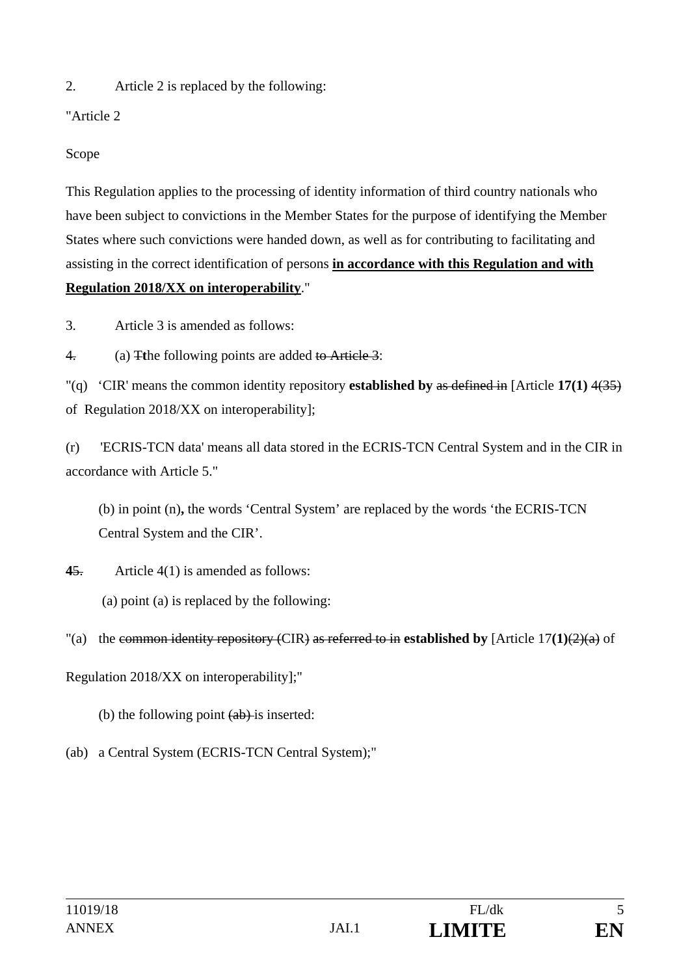2. Article 2 is replaced by the following:

"Article 2

Scope

This Regulation applies to the processing of identity information of third country nationals who have been subject to convictions in the Member States for the purpose of identifying the Member States where such convictions were handed down, as well as for contributing to facilitating and assisting in the correct identification of persons **in accordance with this Regulation and with Regulation 2018/XX on interoperability**."

3. Article 3 is amended as follows:

4. (a) T**t**he following points are added to Article 3:

"(q) 'CIR' means the common identity repository **established by** as defined in [Article **17(1)** 4(35) of Regulation 2018/XX on interoperability];

(r) 'ECRIS-TCN data' means all data stored in the ECRIS-TCN Central System and in the CIR in accordance with Article 5."

(b) in point (n)**,** the words 'Central System' are replaced by the words 'the ECRIS-TCN Central System and the CIR'.

**4**5. Article 4(1) is amended as follows:

(a) point (a) is replaced by the following:

# "(a) the common identity repository (CIR) as referred to in **established by** [Article  $17(1)(2)(a)$  of

Regulation 2018/XX on interoperability];"

(b) the following point  $(a\bar{b})$  is inserted:

(ab) a Central System (ECRIS-TCN Central System);"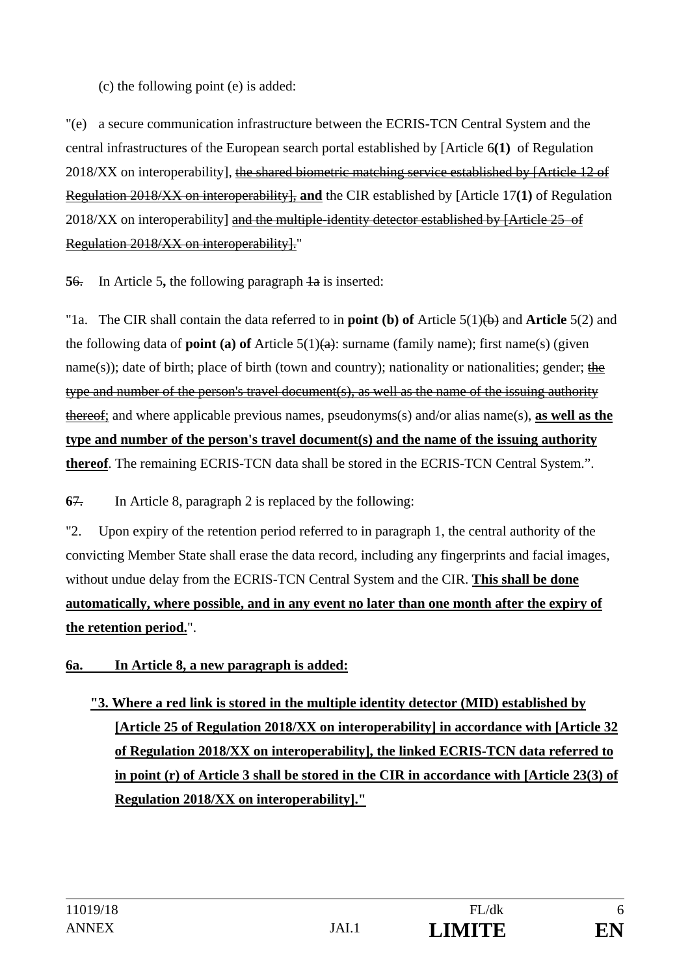## (c) the following point (e) is added:

"(e) a secure communication infrastructure between the ECRIS-TCN Central System and the central infrastructures of the European search portal established by [Article 6**(1)** of Regulation 2018/XX on interoperability], the shared biometric matching service established by [Article 12 of Regulation 2018/XX on interoperability], **and** the CIR established by [Article 17**(1)** of Regulation 2018/XX on interoperability] and the multiple-identity detector established by [Article 25 of Regulation 2018/XX on interoperability]."

**56.** In Article 5, the following paragraph  $\frac{1}{a}$  is inserted:

"1a. The CIR shall contain the data referred to in **point (b) of** Article 5(1)(b) and **Article** 5(2) and the following data of **point (a) of** Article 5(1)(a): surname (family name); first name(s) (given name(s)); date of birth; place of birth (town and country); nationality or nationalities; gender; the type and number of the person's travel document(s), as well as the name of the issuing authority thereof; and where applicable previous names, pseudonyms(s) and/or alias name(s), **as well as the type and number of the person's travel document(s) and the name of the issuing authority thereof**. The remaining ECRIS-TCN data shall be stored in the ECRIS-TCN Central System.".

**6**7. In Article 8, paragraph 2 is replaced by the following:

"2. Upon expiry of the retention period referred to in paragraph 1, the central authority of the convicting Member State shall erase the data record, including any fingerprints and facial images, without undue delay from the ECRIS-TCN Central System and the CIR. **This shall be done automatically, where possible, and in any event no later than one month after the expiry of the retention period.**".

## **6a. In Article 8, a new paragraph is added:**

**"3. Where a red link is stored in the multiple identity detector (MID) established by [Article 25 of Regulation 2018/XX on interoperability] in accordance with [Article 32 of Regulation 2018/XX on interoperability], the linked ECRIS-TCN data referred to in point (r) of Article 3 shall be stored in the CIR in accordance with [Article 23(3) of Regulation 2018/XX on interoperability]."**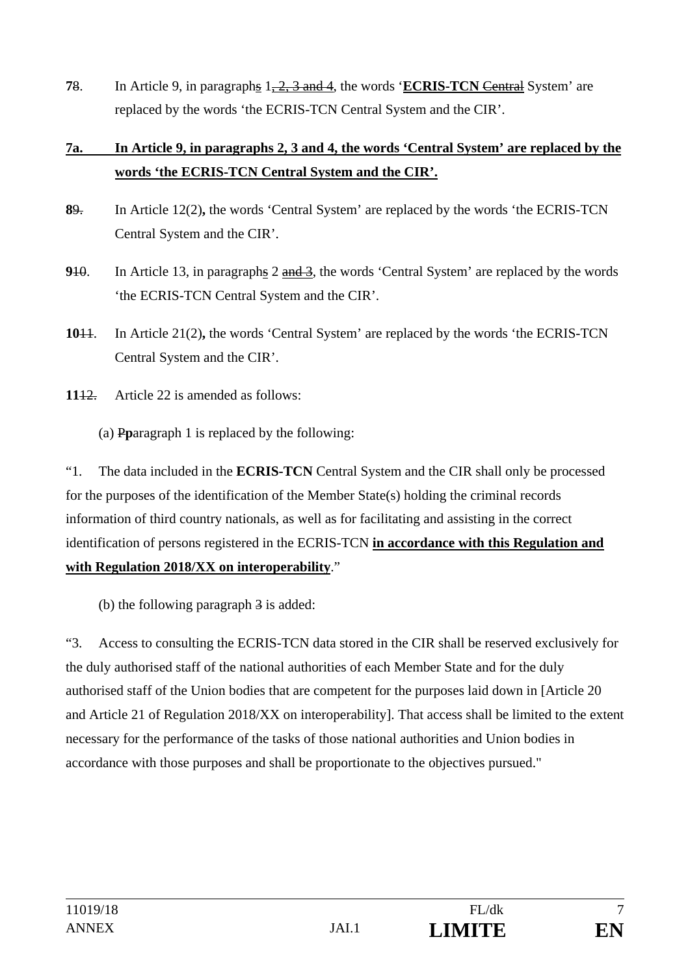**7**8. In Article 9, in paragraphs 1, 2, 3 and 4, the words '**ECRIS-TCN** Central System' are replaced by the words 'the ECRIS-TCN Central System and the CIR'.

# **7a. In Article 9, in paragraphs 2, 3 and 4, the words 'Central System' are replaced by the words 'the ECRIS-TCN Central System and the CIR'.**

- **8**9. In Article 12(2)**,** the words 'Central System' are replaced by the words 'the ECRIS-TCN Central System and the CIR'.
- **910.** In Article 13, in paragraphs 2 and 3, the words 'Central System' are replaced by the words 'the ECRIS-TCN Central System and the CIR'.
- **10**11. In Article 21(2)**,** the words 'Central System' are replaced by the words 'the ECRIS-TCN Central System and the CIR'.
- **11**12. Article 22 is amended as follows:
	- (a) P**p**aragraph 1 is replaced by the following:

"1. The data included in the **ECRIS-TCN** Central System and the CIR shall only be processed for the purposes of the identification of the Member State(s) holding the criminal records information of third country nationals, as well as for facilitating and assisting in the correct identification of persons registered in the ECRIS-TCN **in accordance with this Regulation and with Regulation 2018/XX on interoperability**."

(b) the following paragraph  $\frac{3}{2}$  is added:

"3. Access to consulting the ECRIS-TCN data stored in the CIR shall be reserved exclusively for the duly authorised staff of the national authorities of each Member State and for the duly authorised staff of the Union bodies that are competent for the purposes laid down in [Article 20 and Article 21 of Regulation 2018/XX on interoperability]. That access shall be limited to the extent necessary for the performance of the tasks of those national authorities and Union bodies in accordance with those purposes and shall be proportionate to the objectives pursued."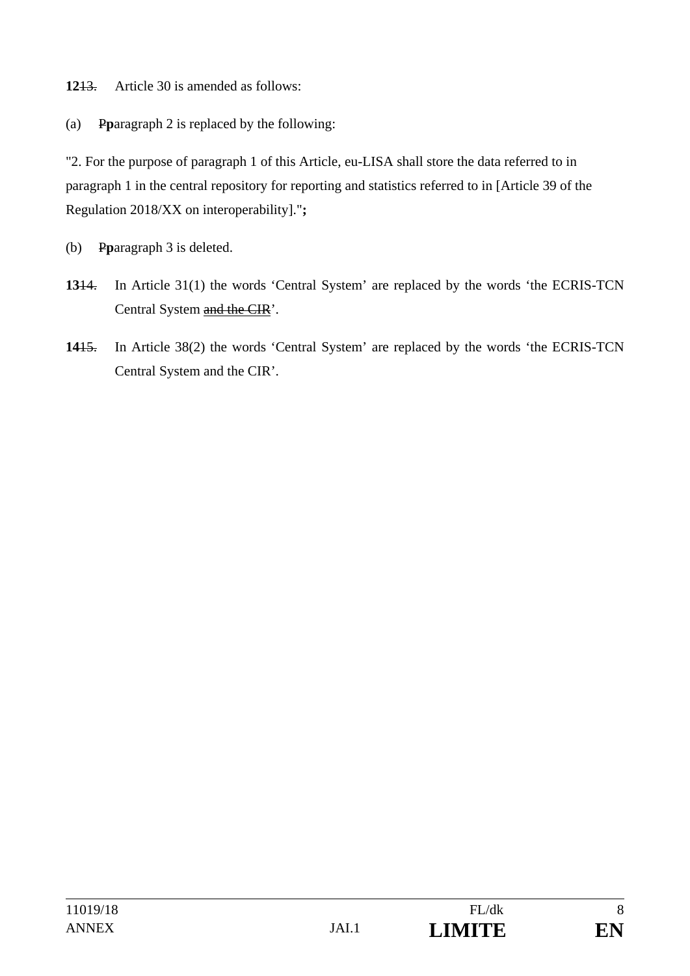**12**13. Article 30 is amended as follows:

(a) P**p**aragraph 2 is replaced by the following:

"2. For the purpose of paragraph 1 of this Article, eu-LISA shall store the data referred to in paragraph 1 in the central repository for reporting and statistics referred to in [Article 39 of the Regulation 2018/XX on interoperability]."**;** 

- (b) P**p**aragraph 3 is deleted.
- **13**14. In Article 31(1) the words 'Central System' are replaced by the words 'the ECRIS-TCN Central System and the CIR'.
- **14**15. In Article 38(2) the words 'Central System' are replaced by the words 'the ECRIS-TCN Central System and the CIR'.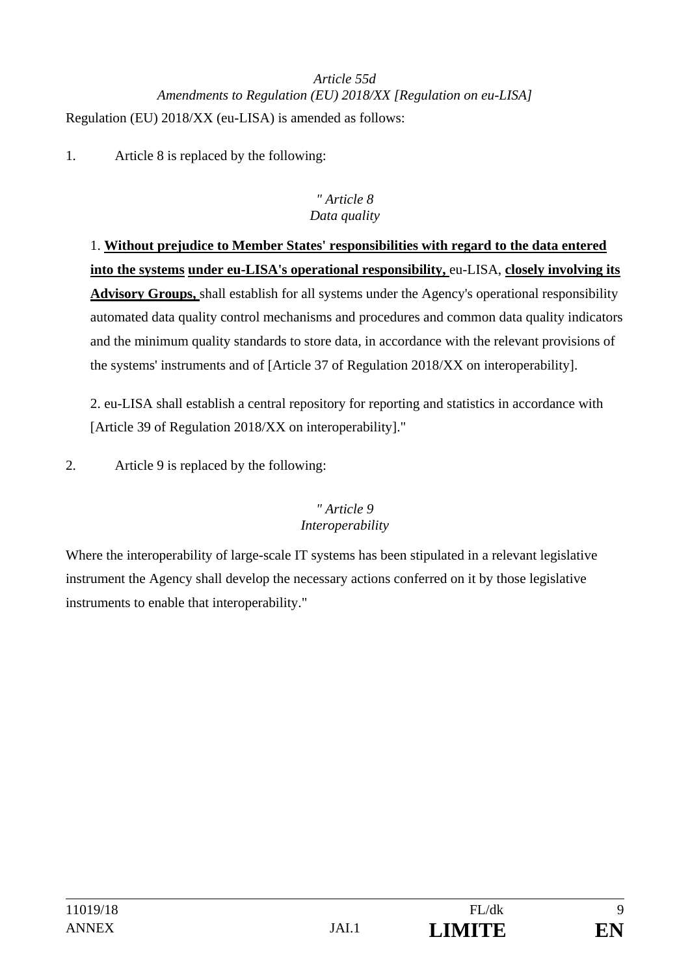# *Article 55d Amendments to Regulation (EU) 2018/XX [Regulation on eu-LISA]*  Regulation (EU) 2018/XX (eu-LISA) is amended as follows:

1. Article 8 is replaced by the following:

### *" Article 8 Data quality*

1. **Without prejudice to Member States' responsibilities with regard to the data entered into the systems under eu-LISA's operational responsibility,** eu-LISA, **closely involving its Advisory Groups,** shall establish for all systems under the Agency's operational responsibility automated data quality control mechanisms and procedures and common data quality indicators and the minimum quality standards to store data, in accordance with the relevant provisions of the systems' instruments and of [Article 37 of Regulation 2018/XX on interoperability].

2. eu-LISA shall establish a central repository for reporting and statistics in accordance with [Article 39 of Regulation 2018/XX on interoperability]."

2. Article 9 is replaced by the following:

## *" Article 9 Interoperability*

Where the interoperability of large-scale IT systems has been stipulated in a relevant legislative instrument the Agency shall develop the necessary actions conferred on it by those legislative instruments to enable that interoperability."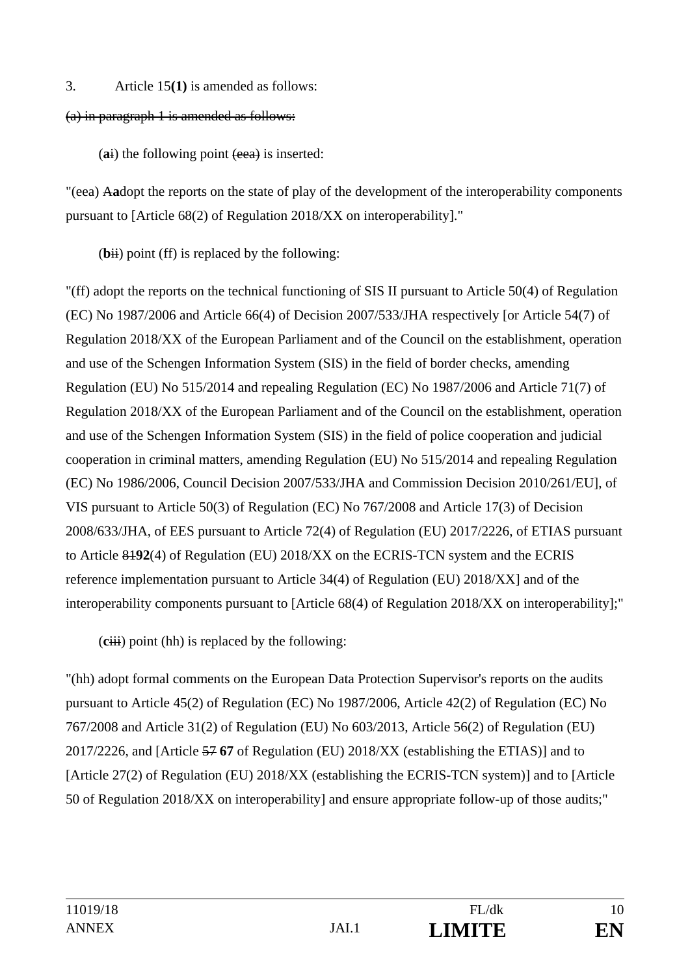#### 3. Article 15**(1)** is amended as follows:

#### (a) in paragraph 1 is amended as follows:

(ai) the following point (eea) is inserted:

"(eea) A**a**dopt the reports on the state of play of the development of the interoperability components pursuant to [Article 68(2) of Regulation 2018/XX on interoperability]."

 $(bii)$  point (ff) is replaced by the following:

"(ff) adopt the reports on the technical functioning of SIS II pursuant to Article 50(4) of Regulation (EC) No 1987/2006 and Article 66(4) of Decision 2007/533/JHA respectively [or Article 54(7) of Regulation 2018/XX of the European Parliament and of the Council on the establishment, operation and use of the Schengen Information System (SIS) in the field of border checks, amending Regulation (EU) No 515/2014 and repealing Regulation (EC) No 1987/2006 and Article 71(7) of Regulation 2018/XX of the European Parliament and of the Council on the establishment, operation and use of the Schengen Information System (SIS) in the field of police cooperation and judicial cooperation in criminal matters, amending Regulation (EU) No 515/2014 and repealing Regulation (EC) No 1986/2006, Council Decision 2007/533/JHA and Commission Decision 2010/261/EU], of VIS pursuant to Article 50(3) of Regulation (EC) No 767/2008 and Article 17(3) of Decision 2008/633/JHA, of EES pursuant to Article 72(4) of Regulation (EU) 2017/2226, of ETIAS pursuant to Article 81**92**(4) of Regulation (EU) 2018/XX on the ECRIS-TCN system and the ECRIS reference implementation pursuant to Article 34(4) of Regulation (EU) 2018/XX] and of the interoperability components pursuant to [Article 68(4) of Regulation 2018/XX on interoperability];"

(**c**iii) point (hh) is replaced by the following:

"(hh) adopt formal comments on the European Data Protection Supervisor's reports on the audits pursuant to Article 45(2) of Regulation (EC) No 1987/2006, Article 42(2) of Regulation (EC) No 767/2008 and Article 31(2) of Regulation (EU) No 603/2013, Article 56(2) of Regulation (EU) 2017/2226, and [Article 57 **67** of Regulation (EU) 2018/XX (establishing the ETIAS)] and to [Article 27(2) of Regulation (EU) 2018/XX (establishing the ECRIS-TCN system)] and to [Article 50 of Regulation 2018/XX on interoperability] and ensure appropriate follow-up of those audits;"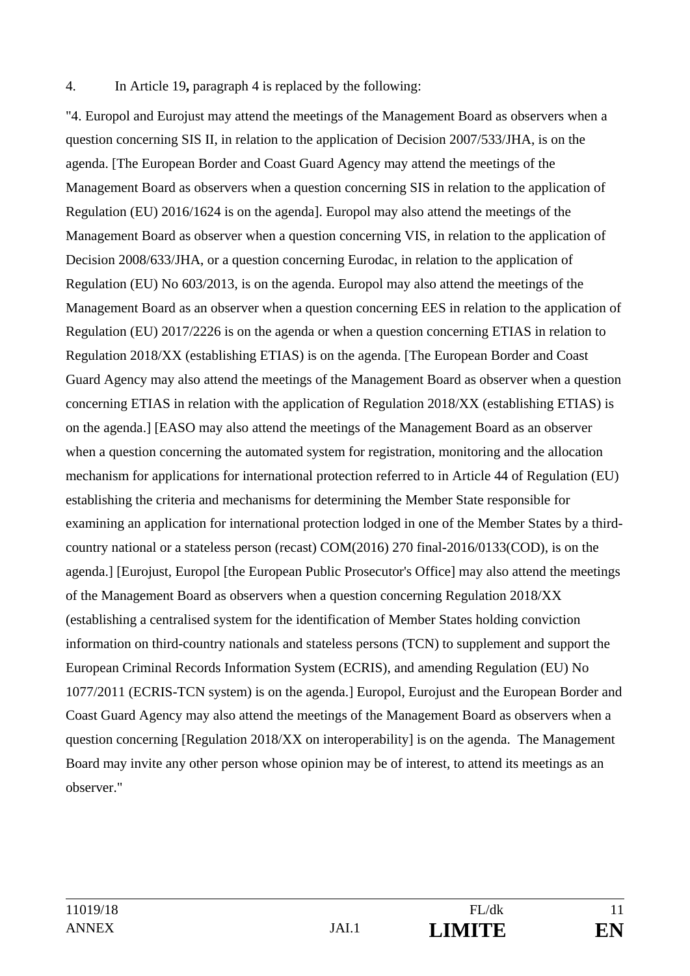#### 4. In Article 19**,** paragraph 4 is replaced by the following:

"4. Europol and Eurojust may attend the meetings of the Management Board as observers when a question concerning SIS II, in relation to the application of Decision 2007/533/JHA, is on the agenda. [The European Border and Coast Guard Agency may attend the meetings of the Management Board as observers when a question concerning SIS in relation to the application of Regulation (EU) 2016/1624 is on the agenda]. Europol may also attend the meetings of the Management Board as observer when a question concerning VIS, in relation to the application of Decision 2008/633/JHA, or a question concerning Eurodac, in relation to the application of Regulation (EU) No 603/2013, is on the agenda. Europol may also attend the meetings of the Management Board as an observer when a question concerning EES in relation to the application of Regulation (EU) 2017/2226 is on the agenda or when a question concerning ETIAS in relation to Regulation 2018/XX (establishing ETIAS) is on the agenda. [The European Border and Coast Guard Agency may also attend the meetings of the Management Board as observer when a question concerning ETIAS in relation with the application of Regulation 2018/XX (establishing ETIAS) is on the agenda.] [EASO may also attend the meetings of the Management Board as an observer when a question concerning the automated system for registration, monitoring and the allocation mechanism for applications for international protection referred to in Article 44 of Regulation (EU) establishing the criteria and mechanisms for determining the Member State responsible for examining an application for international protection lodged in one of the Member States by a thirdcountry national or a stateless person (recast) COM(2016) 270 final-2016/0133(COD), is on the agenda.] [Eurojust, Europol [the European Public Prosecutor's Office] may also attend the meetings of the Management Board as observers when a question concerning Regulation 2018/XX (establishing a centralised system for the identification of Member States holding conviction information on third-country nationals and stateless persons (TCN) to supplement and support the European Criminal Records Information System (ECRIS), and amending Regulation (EU) No 1077/2011 (ECRIS-TCN system) is on the agenda.] Europol, Eurojust and the European Border and Coast Guard Agency may also attend the meetings of the Management Board as observers when a question concerning [Regulation 2018/XX on interoperability] is on the agenda. The Management Board may invite any other person whose opinion may be of interest, to attend its meetings as an observer."